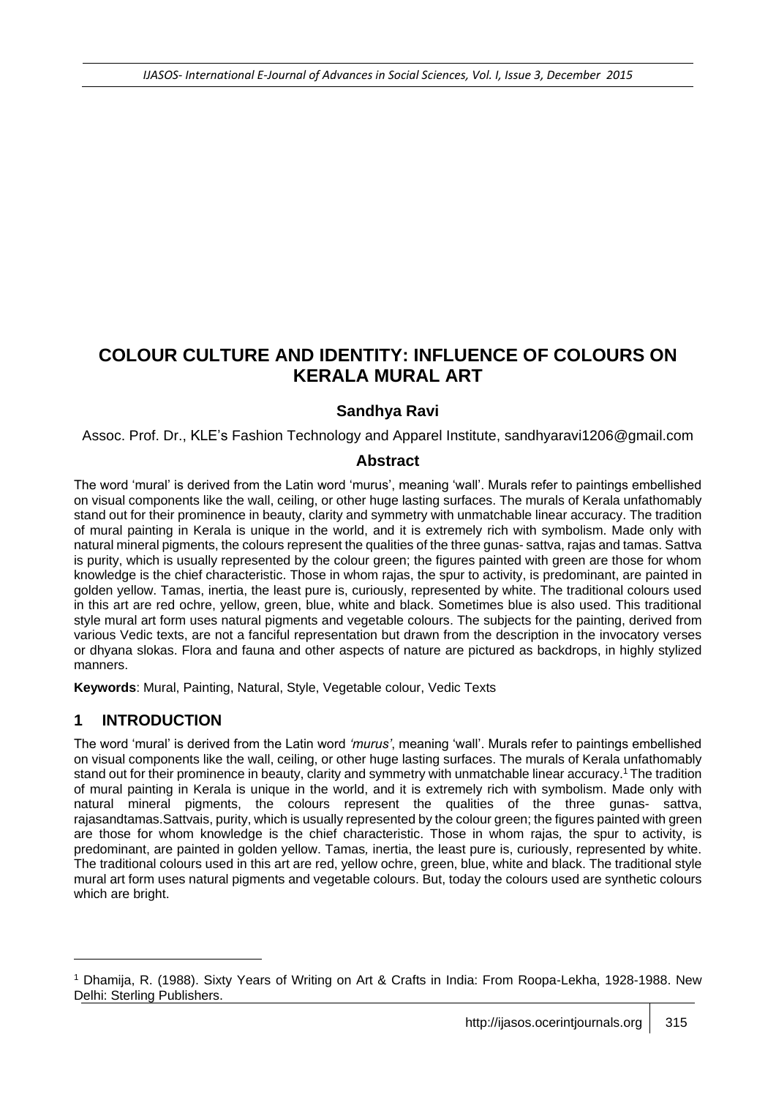# **COLOUR CULTURE AND IDENTITY: INFLUENCE OF COLOURS ON KERALA MURAL ART**

#### **Sandhya Ravi**

Assoc. Prof. Dr., KLE's Fashion Technology and Apparel Institute, sandhyaravi1206@gmail.com

#### **Abstract**

The word 'mural' is derived from the Latin word 'murus', meaning 'wall'. Murals refer to paintings embellished on visual components like the wall, ceiling, or other huge lasting surfaces. The murals of Kerala unfathomably stand out for their prominence in beauty, clarity and symmetry with unmatchable linear accuracy. The tradition of mural painting in Kerala is unique in the world, and it is extremely rich with symbolism. Made only with natural mineral pigments, the colours represent the qualities of the three gunas- sattva, rajas and tamas. Sattva is purity, which is usually represented by the colour green; the figures painted with green are those for whom knowledge is the chief characteristic. Those in whom rajas, the spur to activity, is predominant, are painted in golden yellow. Tamas, inertia, the least pure is, curiously, represented by white. The traditional colours used in this art are red ochre, yellow, green, blue, white and black. Sometimes blue is also used. This traditional style mural art form uses natural pigments and vegetable colours. The subjects for the painting, derived from various Vedic texts, are not a fanciful representation but drawn from the description in the invocatory verses or dhyana slokas. Flora and fauna and other aspects of nature are pictured as backdrops, in highly stylized manners.

**Keywords**: Mural, Painting, Natural, Style, Vegetable colour, Vedic Texts

#### **1 INTRODUCTION**

l

The word 'mural' is derived from the Latin word *'murus'*, meaning 'wall'. Murals refer to paintings embellished on visual components like the wall, ceiling, or other huge lasting surfaces. The murals of Kerala unfathomably stand out for their prominence in beauty, clarity and symmetry with unmatchable linear accuracy. <sup>1</sup> The tradition of mural painting in Kerala is unique in the world, and it is extremely rich with symbolism. Made only with natural mineral pigments, the colours represent the qualities of the three gunas- sattva, rajasandtamas.Sattvais, purity, which is usually represented by the colour green; the figures painted with green are those for whom knowledge is the chief characteristic. Those in whom rajas*,* the spur to activity, is predominant, are painted in golden yellow. Tamas*,* inertia, the least pure is, curiously, represented by white. The traditional colours used in this art are red, yellow ochre, green, blue, white and black. The traditional style mural art form uses natural pigments and vegetable colours. But, today the colours used are synthetic colours which are bright.

<sup>1</sup> Dhamija, R. (1988). Sixty Years of Writing on Art & Crafts in India: From Roopa-Lekha, 1928-1988. New Delhi: Sterling Publishers.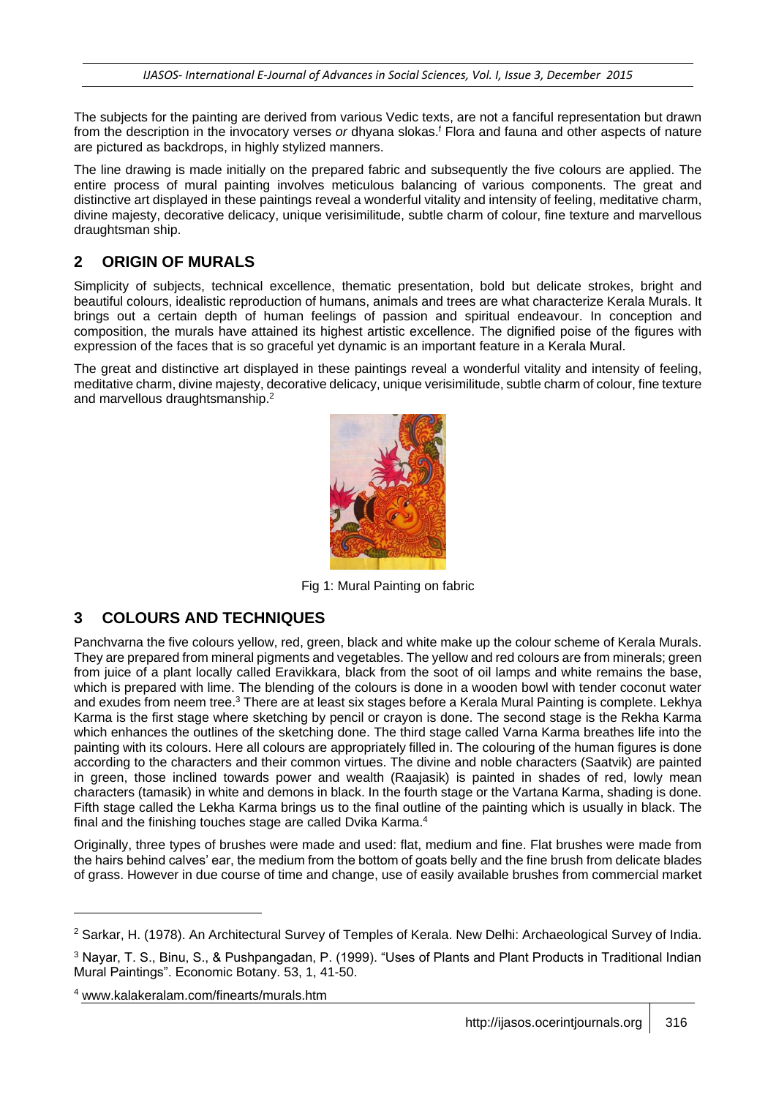The subjects for the painting are derived from various Vedic texts, are not a fanciful representation but drawn from the description in the invocatory verses or dhyana slokas.<sup>f</sup> Flora and fauna and other aspects of nature are pictured as backdrops, in highly stylized manners.

The line drawing is made initially on the prepared fabric and subsequently the five colours are applied. The entire process of mural painting involves meticulous balancing of various components. The great and distinctive art displayed in these paintings reveal a wonderful vitality and intensity of feeling, meditative charm, divine majesty, decorative delicacy, unique verisimilitude, subtle charm of colour, fine texture and marvellous draughtsman ship.

#### **2 ORIGIN OF MURALS**

Simplicity of subjects, technical excellence, thematic presentation, bold but delicate strokes, bright and beautiful colours, idealistic reproduction of humans, animals and trees are what characterize Kerala Murals. It brings out a certain depth of human feelings of passion and spiritual endeavour. In conception and composition, the murals have attained its highest artistic excellence. The dignified poise of the figures with expression of the faces that is so graceful yet dynamic is an important feature in a Kerala Mural.

The great and distinctive art displayed in these paintings reveal a wonderful vitality and intensity of feeling, meditative charm, divine majesty, decorative delicacy, unique verisimilitude, subtle charm of colour, fine texture and marvellous draughtsmanship.<sup>2</sup>



Fig 1: Mural Painting on fabric

#### **3 COLOURS AND TECHNIQUES**

Panchvarna the five colours yellow, red, green, black and white make up the colour scheme of Kerala Murals. They are prepared from mineral pigments and vegetables. The yellow and red colours are from minerals; green from juice of a plant locally called Eravikkara, black from the soot of oil lamps and white remains the base, which is prepared with lime. The blending of the colours is done in a wooden bowl with tender coconut water and exudes from neem tree.<sup>3</sup> There are at least six stages before a Kerala Mural Painting is complete. Lekhya Karma is the first stage where sketching by pencil or crayon is done. The second stage is the Rekha Karma which enhances the outlines of the sketching done. The third stage called Varna Karma breathes life into the painting with its colours. Here all colours are appropriately filled in. The colouring of the human figures is done according to the characters and their common virtues. The divine and noble characters (Saatvik) are painted in green, those inclined towards power and wealth (Raajasik) is painted in shades of red, lowly mean characters (tamasik) in white and demons in black. In the fourth stage or the Vartana Karma, shading is done. Fifth stage called the Lekha Karma brings us to the final outline of the painting which is usually in black. The final and the finishing touches stage are called Dvika Karma.<sup>4</sup>

Originally, three types of brushes were made and used: flat, medium and fine. Flat brushes were made from the hairs behind calves' ear, the medium from the bottom of goats belly and the fine brush from delicate blades of grass. However in due course of time and change, use of easily available brushes from commercial market

l

<sup>2</sup> Sarkar, H. (1978). An Architectural Survey of Temples of Kerala. New Delhi: Archaeological Survey of India.

<sup>3</sup> Nayar, T. S., Binu, S., & Pushpangadan, P. (1999). "Uses of Plants and Plant Products in Traditional Indian Mural Paintings". Economic Botany. 53, 1, 41-50.

<sup>4</sup> www.kalakeralam.com/finearts/murals.htm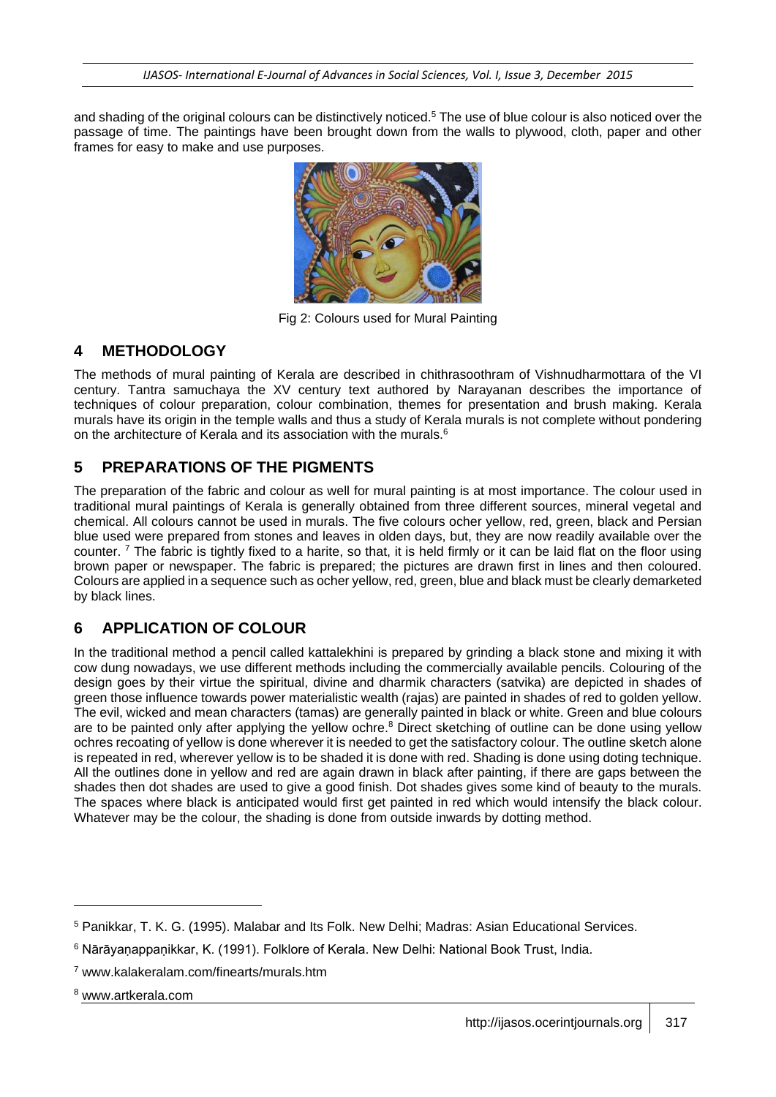and shading of the original colours can be distinctively noticed.<sup>5</sup> The use of blue colour is also noticed over the passage of time. The paintings have been brought down from the walls to plywood, cloth, paper and other frames for easy to make and use purposes.



Fig 2: Colours used for Mural Painting

#### **4 METHODOLOGY**

The methods of mural painting of Kerala are described in chithrasoothram of Vishnudharmottara of the VI century. Tantra samuchaya the XV century text authored by Narayanan describes the importance of techniques of colour preparation, colour combination, themes for presentation and brush making. Kerala murals have its origin in the temple walls and thus a study of Kerala murals is not complete without pondering on the architecture of Kerala and its association with the murals.<sup>6</sup>

### **5 PREPARATIONS OF THE PIGMENTS**

The preparation of the fabric and colour as well for mural painting is at most importance. The colour used in traditional mural paintings of Kerala is generally obtained from three different sources, mineral vegetal and chemical. All colours cannot be used in murals. The five colours ocher yellow, red, green, black and Persian blue used were prepared from stones and leaves in olden days, but, they are now readily available over the counter.  $<sup>7</sup>$  The fabric is tightly fixed to a harite, so that, it is held firmly or it can be laid flat on the floor using</sup> brown paper or newspaper. The fabric is prepared; the pictures are drawn first in lines and then coloured. Colours are applied in a sequence such as ocher yellow, red, green, blue and black must be clearly demarketed by black lines.

## **6 APPLICATION OF COLOUR**

In the traditional method a pencil called kattalekhini is prepared by grinding a black stone and mixing it with cow dung nowadays, we use different methods including the commercially available pencils. Colouring of the design goes by their virtue the spiritual, divine and dharmik characters (satvika) are depicted in shades of green those influence towards power materialistic wealth (rajas) are painted in shades of red to golden yellow. The evil, wicked and mean characters (tamas) are generally painted in black or white. Green and blue colours are to be painted only after applying the yellow ochre.<sup>8</sup> Direct sketching of outline can be done using yellow ochres recoating of yellow is done wherever it is needed to get the satisfactory colour. The outline sketch alone is repeated in red, wherever yellow is to be shaded it is done with red. Shading is done using doting technique. All the outlines done in yellow and red are again drawn in black after painting, if there are gaps between the shades then dot shades are used to give a good finish. Dot shades gives some kind of beauty to the murals. The spaces where black is anticipated would first get painted in red which would intensify the black colour. Whatever may be the colour, the shading is done from outside inwards by dotting method.

l

<sup>5</sup> Panikkar, T. K. G. (1995). Malabar and Its Folk. New Delhi; Madras: Asian Educational Services.

<sup>&</sup>lt;sup>6</sup> Nārāyanappanikkar, K. (1991). Folklore of Kerala. New Delhi: National Book Trust, India.

<sup>7</sup> www.kalakeralam.com/finearts/murals.htm

<sup>8</sup> www.artkerala.com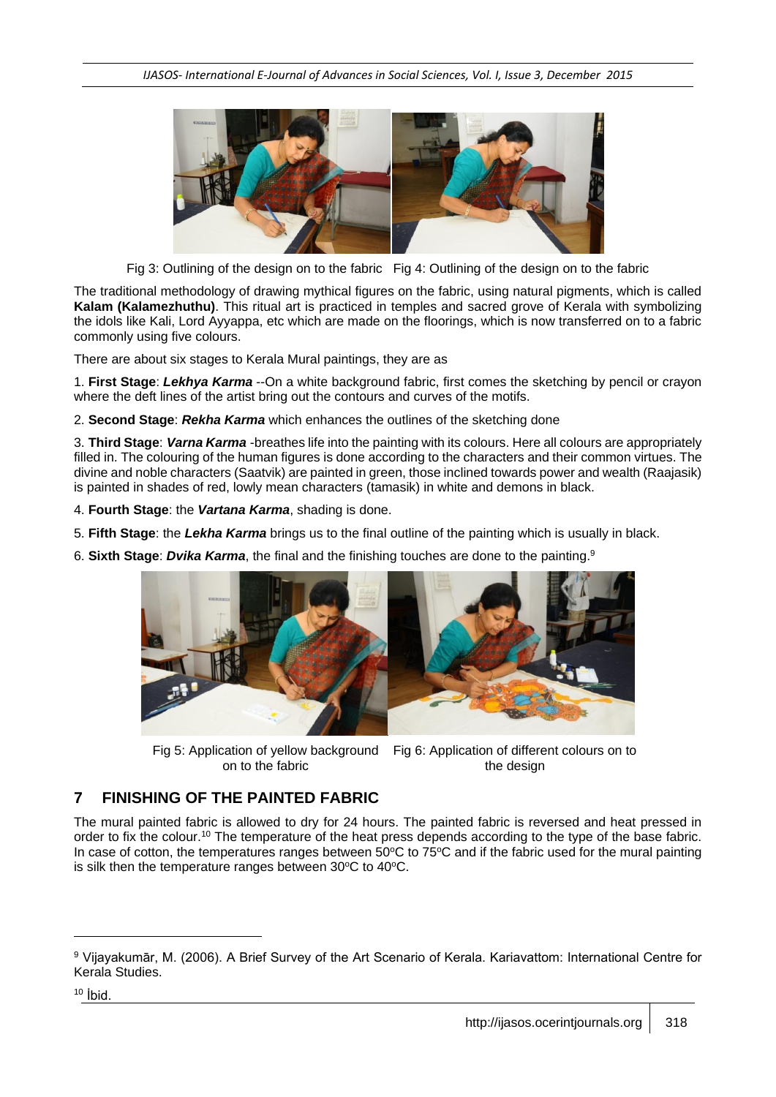

Fig 3: Outlining of the design on to the fabric Fig 4: Outlining of the design on to the fabric

The traditional methodology of drawing mythical figures on the fabric, using natural pigments, which is called **Kalam (Kalamezhuthu)**. This ritual art is practiced in temples and sacred grove of Kerala with symbolizing the idols like Kali, Lord Ayyappa, etc which are made on the floorings, which is now transferred on to a fabric commonly using five colours.

There are about six stages to Kerala Mural paintings, they are as

1. **First Stage**: *Lekhya Karma* --On a white background fabric, first comes the sketching by pencil or crayon where the deft lines of the artist bring out the contours and curves of the motifs.

2. **Second Stage**: *Rekha Karma* which enhances the outlines of the sketching done

3. **Third Stage**: *Varna Karma* -breathes life into the painting with its colours. Here all colours are appropriately filled in. The colouring of the human figures is done according to the characters and their common virtues. The divine and noble characters (Saatvik) are painted in green, those inclined towards power and wealth (Raajasik) is painted in shades of red, lowly mean characters (tamasik) in white and demons in black.

4. **Fourth Stage**: the *Vartana Karma*, shading is done.

5. **Fifth Stage**: the *Lekha Karma* brings us to the final outline of the painting which is usually in black.

6. **Sixth Stage**: *Dvika Karma*, the final and the finishing touches are done to the painting.<sup>9</sup>



Fig 5: Application of yellow background Fig 6: Application of different colours on to on to the fabric the design

#### **7 FINISHING OF THE PAINTED FABRIC**

The mural painted fabric is allowed to dry for 24 hours. The painted fabric is reversed and heat pressed in order to fix the colour.<sup>10</sup> The temperature of the heat press depends according to the type of the base fabric. In case of cotton, the temperatures ranges between  $50^{\circ}$ C to  $75^{\circ}$ C and if the fabric used for the mural painting is silk then the temperature ranges between  $30^{\circ}$ C to  $40^{\circ}$ C.

l

<sup>9</sup> Vijayakumār, M. (2006). A Brief Survey of the Art Scenario of Kerala. Kariavattom: International Centre for Kerala Studies.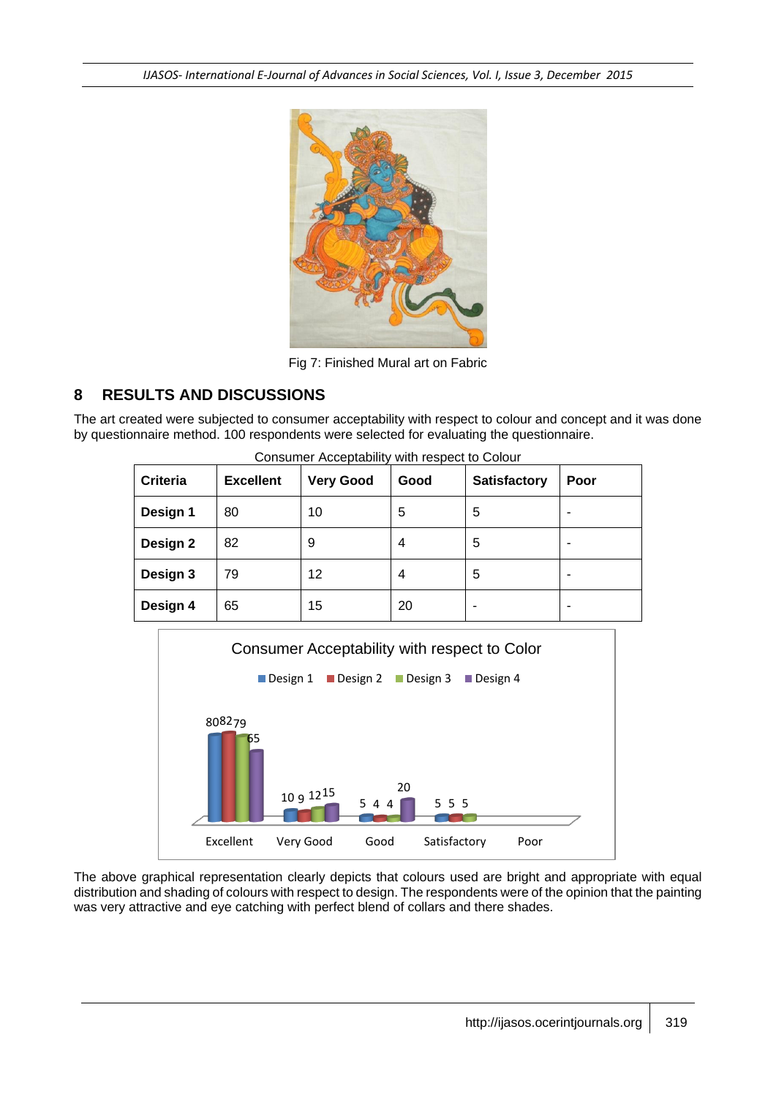*IJASOS- International E-Journal of Advances in Social Sciences, Vol. I, Issue 3, December 2015*



Fig 7: Finished Mural art on Fabric

#### **8 RESULTS AND DISCUSSIONS**

The art created were subjected to consumer acceptability with respect to colour and concept and it was done by questionnaire method. 100 respondents were selected for evaluating the questionnaire.

| <b>Criteria</b> | <b>Excellent</b> | <b>Very Good</b> | Good | <b>Satisfactory</b> | Poor |
|-----------------|------------------|------------------|------|---------------------|------|
| Design 1        | 80               | 10               | 5    | 5                   |      |
| Design 2        | 82               | 9                | 4    | 5                   |      |
| Design 3        | 79               | 12               | 4    | 5                   |      |
| Design 4        | 65               | 15               | 20   | ۰                   |      |



The above graphical representation clearly depicts that colours used are bright and appropriate with equal distribution and shading of colours with respect to design. The respondents were of the opinion that the painting was very attractive and eye catching with perfect blend of collars and there shades.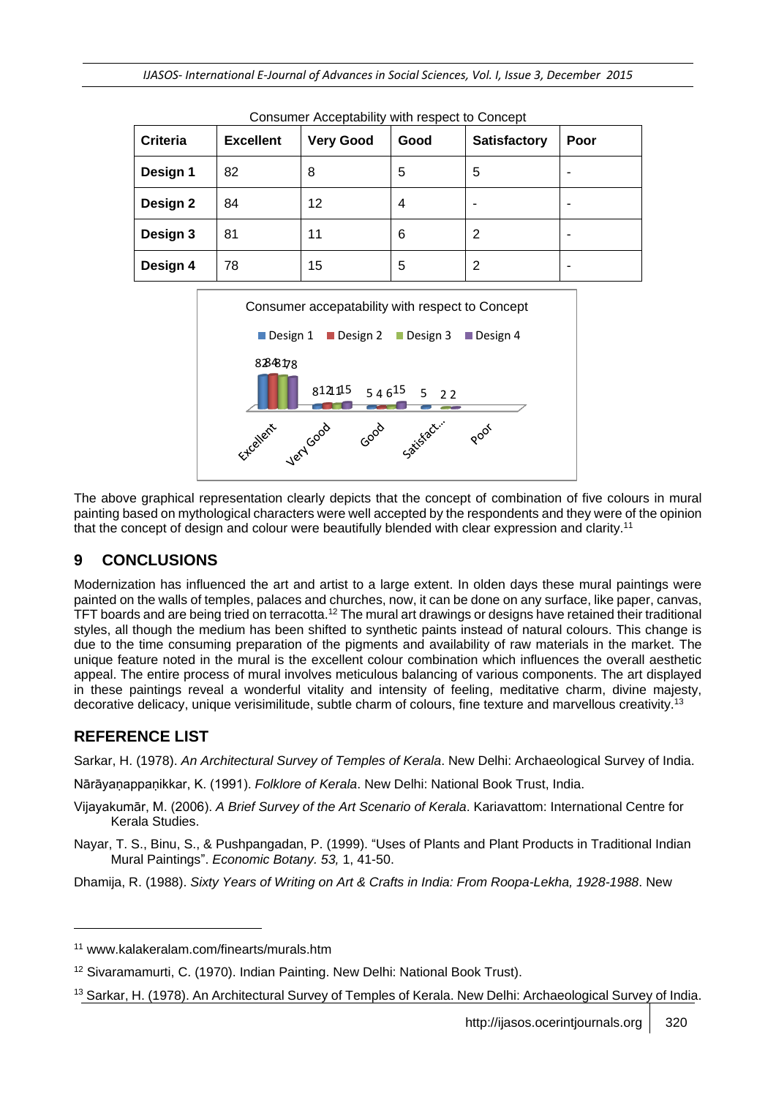| <b>Criteria</b> | <b>Excellent</b> | <b>Very Good</b> | Good | <b>Satisfactory</b> | Poor |
|-----------------|------------------|------------------|------|---------------------|------|
| Design 1        | 82               | 8                | 5    | 5                   |      |
| Design 2        | 84               | 12               | 4    |                     |      |
| Design 3        | 81               | 11               | 6    | 2                   |      |
| Design 4        | 78               | 15               | 5    | 2                   |      |





The above graphical representation clearly depicts that the concept of combination of five colours in mural painting based on mythological characters were well accepted by the respondents and they were of the opinion that the concept of design and colour were beautifully blended with clear expression and clarity.<sup>11</sup>

#### **9 CONCLUSIONS**

Modernization has influenced the art and artist to a large extent. In olden days these mural paintings were painted on the walls of temples, palaces and churches, now, it can be done on any surface, like paper, canvas, TFT boards and are being tried on terracotta.<sup>12</sup> The mural art drawings or designs have retained their traditional styles, all though the medium has been shifted to synthetic paints instead of natural colours. This change is due to the time consuming preparation of the pigments and availability of raw materials in the market. The unique feature noted in the mural is the excellent colour combination which influences the overall aesthetic appeal. The entire process of mural involves meticulous balancing of various components. The art displayed in these paintings reveal a wonderful vitality and intensity of feeling, meditative charm, divine majesty, decorative delicacy, unique verisimilitude, subtle charm of colours, fine texture and marvellous creativity.<sup>13</sup>

## **REFERENCE LIST**

l

Sarkar, H. (1978). *An Architectural Survey of Temples of Kerala*. New Delhi: Archaeological Survey of India.

Nārāyanạ ppanịkkar, K. (1991). *Folklore of Kerala*. New Delhi: National Book Trust, India.

- Vijayakumār, M. (2006). *A Brief Survey of the Art Scenario of Kerala*. Kariavattom: International Centre for Kerala Studies.
- Nayar, T. S., Binu, S., & Pushpangadan, P. (1999). "Uses of Plants and Plant Products in Traditional Indian Mural Paintings". *Economic Botany. 53,* 1, 41-50.
- Dhamija, R. (1988). *Sixty Years of Writing on Art & Crafts in India: From Roopa-Lekha, 1928-1988*. New

<sup>11</sup> www.kalakeralam.com/finearts/murals.htm

<sup>12</sup> Sivaramamurti, C. (1970). Indian Painting. New Delhi: National Book Trust).

<sup>&</sup>lt;sup>13</sup> Sarkar, H. (1978). An Architectural Survey of Temples of Kerala. New Delhi: Archaeological Survey of India.